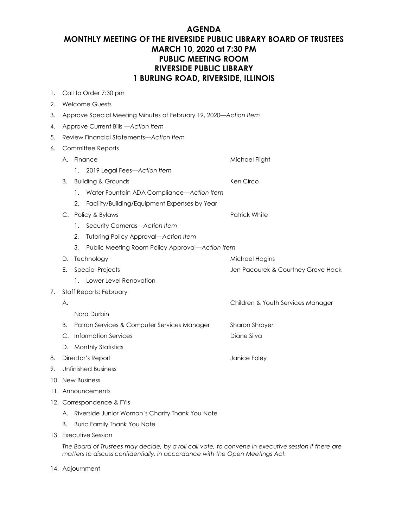#### **AGENDA**

# **MONTHLY MEETING OF THE RIVERSIDE PUBLIC LIBRARY BOARD OF TRUSTEES MARCH 10, 2020 at 7:30 PM PUBLIC MEETING ROOM RIVERSIDE PUBLIC LIBRARY 1 BURLING ROAD, RIVERSIDE, ILLINOIS**

- 1. Call to Order 7:30 pm 2. Welcome Guests 3. Approve Special Meeting Minutes of February 19, 2020—*Action Item* 4. Approve Current Bills —*Action Item* 5. Review Financial Statements—*Action Item* 6. Committee Reports A. Finance Michael Flight 1. 2019 Legal Fees—*Action Item* B. Building & Grounds **Example 20 Strategies Accept Accept** Ken Circo 1. Water Fountain ADA Compliance*—Action Item* 2. Facility/Building/Equipment Expenses by Year C. Policy & Bylaws **Patrick White** Patrick White 1. Security Cameras*—Action Item 2.* Tutoring Policy Approval—*Action Item 3.* Public Meeting Room Policy Approval*—Action Item* D. Technology Michael Hagins E. Special Projects Jen Pacourek & Courtney Greve Hack 1. Lower Level Renovation 7. Staff Reports: February A. Children & Youth Services Manager Nora Durbin B. Patron Services & Computer Services ManagerSharon Shroyer C. Information Services **Diane Silva** Diane Silva D. Monthly Statistics 8. Director's Report **Containers** and the United States of the United States of the United States of the United States of the United States of the United States of the United States of the United States of the United State 9. Unfinished Business 10. New Business 11. Announcements 12. Correspondence & FYIs A. Riverside Junior Woman's Charity Thank You Note
	- B. Buric Family Thank You Note
- 13. Executive Session

*The Board of Trustees may decide, by a roll call vote, to convene in executive session if there are matters to discuss confidentially, in accordance with the Open Meetings Act.*

14. Adjournment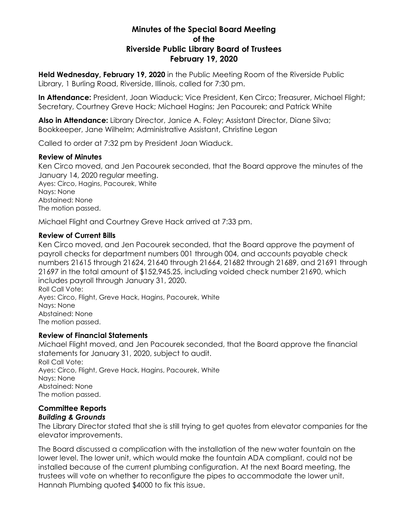# **Minutes of the Special Board Meeting of the Riverside Public Library Board of Trustees February 19, 2020**

**Held Wednesday, February 19, 2020** in the Public Meeting Room of the Riverside Public Library, 1 Burling Road, Riverside, Illinois, called for 7:30 pm.

**In Attendance:** President, Joan Wiaduck; Vice President, Ken Circo; Treasurer, Michael Flight; Secretary, Courtney Greve Hack; Michael Hagins; Jen Pacourek; and Patrick White

**Also in Attendance:** Library Director, Janice A. Foley; Assistant Director, Diane Silva; Bookkeeper, Jane Wilhelm; Administrative Assistant, Christine Legan

Called to order at 7:32 pm by President Joan Wiaduck.

### **Review of Minutes**

Ken Circo moved, and Jen Pacourek seconded, that the Board approve the minutes of the January 14, 2020 regular meeting. Ayes: Circo, Hagins, Pacourek, White Nays: None Abstained: None The motion passed.

Michael Flight and Courtney Greve Hack arrived at 7:33 pm.

# **Review of Current Bills**

Ken Circo moved, and Jen Pacourek seconded, that the Board approve the payment of payroll checks for department numbers 001 through 004, and accounts payable check numbers 21615 through 21624, 21640 through 21664, 21682 through 21689, and 21691 through 21697 in the total amount of \$152,945.25, including voided check number 21690, which includes payroll through January 31, 2020. Roll Call Vote: Ayes: Circo, Flight, Greve Hack, Hagins, Pacourek, White

Nays: None Abstained: None The motion passed.

# **Review of Financial Statements**

Michael Flight moved, and Jen Pacourek seconded, that the Board approve the financial statements for January 31, 2020, subject to audit. Roll Call Vote: Ayes: Circo, Flight, Greve Hack, Hagins, Pacourek, White Nays: None Abstained: None The motion passed.

#### **Committee Reports** *Building & Grounds*

The Library Director stated that she is still trying to get quotes from elevator companies for the elevator improvements.

The Board discussed a complication with the installation of the new water fountain on the lower level. The lower unit, which would make the fountain ADA compliant, could not be installed because of the current plumbing configuration. At the next Board meeting, the trustees will vote on whether to reconfigure the pipes to accommodate the lower unit. Hannah Plumbing quoted \$4000 to fix this issue.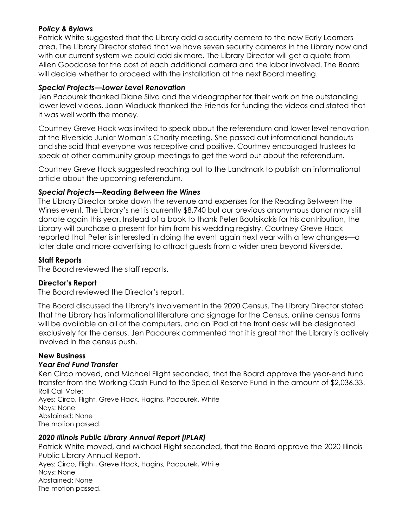## *Policy & Bylaws*

Patrick White suggested that the Library add a security camera to the new Early Learners area. The Library Director stated that we have seven security cameras in the Library now and with our current system we could add six more. The Library Director will get a quote from Allen Goodcase for the cost of each additional camera and the labor involved. The Board will decide whether to proceed with the installation at the next Board meeting.

## *Special Projects—Lower Level Renovation*

Jen Pacourek thanked Diane Silva and the videographer for their work on the outstanding lower level videos. Joan Wiaduck thanked the Friends for funding the videos and stated that it was well worth the money.

Courtney Greve Hack was invited to speak about the referendum and lower level renovation at the Riverside Junior Woman's Charity meeting. She passed out informational handouts and she said that everyone was receptive and positive. Courtney encouraged trustees to speak at other community group meetings to get the word out about the referendum.

Courtney Greve Hack suggested reaching out to the Landmark to publish an informational article about the upcoming referendum.

### *Special Projects—Reading Between the Wines*

The Library Director broke down the revenue and expenses for the Reading Between the Wines event. The Library's net is currently \$8,740 but our previous anonymous donor may still donate again this year. Instead of a book to thank Peter Boutsikakis for his contribution, the Library will purchase a present for him from his wedding registry. Courtney Greve Hack reported that Peter is interested in doing the event again next year with a few changes—a later date and more advertising to attract guests from a wider area beyond Riverside.

## **Staff Reports**

The Board reviewed the staff reports.

# **Director's Report**

The Board reviewed the Director's report.

The Board discussed the Library's involvement in the 2020 Census. The Library Director stated that the Library has informational literature and signage for the Census, online census forms will be available on all of the computers, and an iPad at the front desk will be designated exclusively for the census. Jen Pacourek commented that it is great that the Library is actively involved in the census push.

# **New Business**

# *Year End Fund Transfer*

Ken Circo moved, and Michael Flight seconded, that the Board approve the year-end fund transfer from the Working Cash Fund to the Special Reserve Fund in the amount of \$2,036.33. Roll Call Vote:

Ayes: Circo, Flight, Greve Hack, Hagins, Pacourek, White Nays: None Abstained: None The motion passed.

# *2020 Illinois Public Library Annual Report [IPLAR]*

Patrick White moved, and Michael Flight seconded, that the Board approve the 2020 Illinois Public Library Annual Report. Ayes: Circo, Flight, Greve Hack, Hagins, Pacourek, White Nays: None Abstained: None The motion passed.